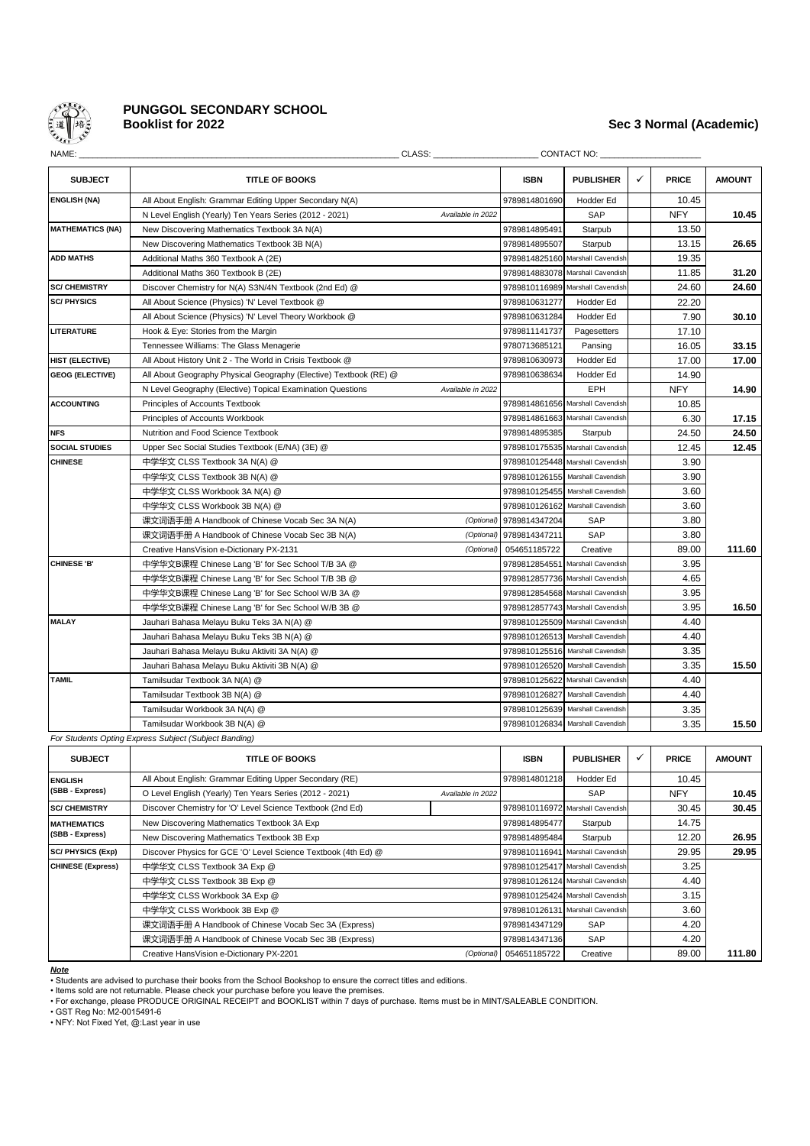

# **PUNGGOL SECONDARY SCHOOL**

# **Booklist for 2022 Sec 3 Normal (Academic)**

| NAME:                   |                                                                   | CLASS: Analysis of the contract of the contract of the contract of the contract of the contract of the contract of the contract of the contract of the contract of the contract of the contract of the contract of the contrac |               | <b>CONTACT NO:</b>               |   |              |               |
|-------------------------|-------------------------------------------------------------------|--------------------------------------------------------------------------------------------------------------------------------------------------------------------------------------------------------------------------------|---------------|----------------------------------|---|--------------|---------------|
| <b>SUBJECT</b>          | <b>TITLE OF BOOKS</b>                                             |                                                                                                                                                                                                                                | <b>ISBN</b>   | <b>PUBLISHER</b>                 | ✓ | <b>PRICE</b> | <b>AMOUNT</b> |
| <b>ENGLISH (NA)</b>     | All About English: Grammar Editing Upper Secondary N(A)           |                                                                                                                                                                                                                                | 9789814801690 | Hodder Ed                        |   | 10.45        |               |
|                         | N Level English (Yearly) Ten Years Series (2012 - 2021)           | Available in 2022                                                                                                                                                                                                              |               | <b>SAP</b>                       |   | <b>NFY</b>   | 10.45         |
| <b>MATHEMATICS (NA)</b> | New Discovering Mathematics Textbook 3A N(A)                      |                                                                                                                                                                                                                                | 9789814895491 | Starpub                          |   | 13.50        |               |
|                         | New Discovering Mathematics Textbook 3B N(A)                      |                                                                                                                                                                                                                                | 9789814895507 | Starpub                          |   | 13.15        | 26.65         |
| <b>ADD MATHS</b>        | Additional Maths 360 Textbook A (2E)                              |                                                                                                                                                                                                                                |               | 9789814825160 Marshall Cavendish |   | 19.35        |               |
|                         | Additional Maths 360 Textbook B (2E)                              |                                                                                                                                                                                                                                |               | 9789814883078 Marshall Cavendish |   | 11.85        | 31.20         |
| <b>SC/ CHEMISTRY</b>    | Discover Chemistry for N(A) S3N/4N Textbook (2nd Ed) @            |                                                                                                                                                                                                                                |               | 9789810116989 Marshall Cavendish |   | 24.60        | 24.60         |
| <b>SC/PHYSICS</b>       | All About Science (Physics) 'N' Level Textbook @                  |                                                                                                                                                                                                                                | 9789810631277 | Hodder Ed                        |   | 22.20        |               |
|                         | All About Science (Physics) 'N' Level Theory Workbook @           |                                                                                                                                                                                                                                | 9789810631284 | Hodder Ed                        |   | 7.90         | 30.10         |
| <b>LITERATURE</b>       | Hook & Eye: Stories from the Margin                               |                                                                                                                                                                                                                                | 9789811141737 | Pagesetters                      |   | 17.10        |               |
|                         | Tennessee Williams: The Glass Menagerie                           |                                                                                                                                                                                                                                | 9780713685121 | Pansing                          |   | 16.05        | 33.15         |
| HIST (ELECTIVE)         | All About History Unit 2 - The World in Crisis Textbook @         |                                                                                                                                                                                                                                | 9789810630973 | Hodder Ed                        |   | 17.00        | 17.00         |
| <b>GEOG (ELECTIVE)</b>  | All About Geography Physical Geography (Elective) Textbook (RE) @ |                                                                                                                                                                                                                                | 9789810638634 | Hodder Ed                        |   | 14.90        |               |
|                         | N Level Geography (Elective) Topical Examination Questions        | Available in 2022                                                                                                                                                                                                              |               | EPH                              |   | <b>NFY</b>   | 14.90         |
| <b>ACCOUNTING</b>       | Principles of Accounts Textbook                                   |                                                                                                                                                                                                                                |               | 9789814861656 Marshall Cavendish |   | 10.85        |               |
|                         | Principles of Accounts Workbook                                   |                                                                                                                                                                                                                                |               | 9789814861663 Marshall Cavendish |   | 6.30         | 17.15         |
| <b>NFS</b>              | Nutrition and Food Science Textbook                               |                                                                                                                                                                                                                                | 9789814895385 | Starpub                          |   | 24.50        | 24.50         |
| <b>SOCIAL STUDIES</b>   | Upper Sec Social Studies Textbook (E/NA) (3E) @                   |                                                                                                                                                                                                                                |               | 9789810175535 Marshall Cavendish |   | 12.45        | 12.45         |
| <b>CHINESE</b>          | 中学华文 CLSS Textbook 3A N(A) @                                      |                                                                                                                                                                                                                                |               | 9789810125448 Marshall Cavendish |   | 3.90         |               |
|                         | 中学华文 CLSS Textbook 3B N(A) @                                      |                                                                                                                                                                                                                                | 9789810126155 | Marshall Cavendish               |   | 3.90         |               |
|                         | 中学华文 CLSS Workbook 3A N(A) @                                      |                                                                                                                                                                                                                                |               | 9789810125455 Marshall Cavendish |   | 3.60         |               |
|                         | 中学华文 CLSS Workbook 3B N(A) @                                      |                                                                                                                                                                                                                                | 9789810126162 | Marshall Cavendish               |   | 3.60         |               |
|                         | 课文词语手册 A Handbook of Chinese Vocab Sec 3A N(A)                    | (Optional)                                                                                                                                                                                                                     | 9789814347204 | <b>SAP</b>                       |   | 3.80         |               |
|                         | 课文词语手册 A Handbook of Chinese Vocab Sec 3B N(A)                    | (Optional)                                                                                                                                                                                                                     | 9789814347211 | SAP                              |   | 3.80         |               |
|                         | Creative HansVision e-Dictionary PX-2131                          | (Optional)                                                                                                                                                                                                                     | 054651185722  | Creative                         |   | 89.00        | 111.60        |
| <b>CHINESE 'B'</b>      | 中学华文B课程 Chinese Lang 'B' for Sec School T/B 3A @                  |                                                                                                                                                                                                                                |               | 9789812854551 Marshall Cavendish |   | 3.95         |               |
|                         | 中学华文B课程 Chinese Lang 'B' for Sec School T/B 3B @                  |                                                                                                                                                                                                                                |               | 9789812857736 Marshall Cavendish |   | 4.65         |               |
|                         | 中学华文B课程 Chinese Lang 'B' for Sec School W/B 3A @                  |                                                                                                                                                                                                                                |               | 9789812854568 Marshall Cavendish |   | 3.95         |               |
|                         | 中学华文B课程 Chinese Lang 'B' for Sec School W/B 3B @                  |                                                                                                                                                                                                                                |               | 9789812857743 Marshall Cavendish |   | 3.95         | 16.50         |
| <b>MALAY</b>            | Jauhari Bahasa Melayu Buku Teks 3A N(A) @                         |                                                                                                                                                                                                                                |               | 9789810125509 Marshall Cavendish |   | 4.40         |               |
|                         | Jauhari Bahasa Melayu Buku Teks 3B N(A) @                         |                                                                                                                                                                                                                                | 9789810126513 | Marshall Cavendish               |   | 4.40         |               |
|                         | Jauhari Bahasa Melayu Buku Aktiviti 3A N(A) @                     |                                                                                                                                                                                                                                | 9789810125516 | Marshall Cavendish               |   | 3.35         |               |
|                         | Jauhari Bahasa Melayu Buku Aktiviti 3B N(A) @                     |                                                                                                                                                                                                                                |               | 9789810126520 Marshall Cavendish |   | 3.35         | 15.50         |
| <b>TAMIL</b>            | Tamilsudar Textbook 3A N(A) @                                     |                                                                                                                                                                                                                                |               | 9789810125622 Marshall Cavendish |   | 4.40         |               |
|                         | Tamilsudar Textbook 3B N(A) @                                     |                                                                                                                                                                                                                                | 9789810126827 | Marshall Cavendish               |   | 4.40         |               |
|                         | Tamilsudar Workbook 3A N(A) @                                     |                                                                                                                                                                                                                                | 9789810125639 | Marshall Cavendish               |   | 3.35         |               |
|                         | Tamilsudar Workbook 3B N(A) @                                     |                                                                                                                                                                                                                                |               | 9789810126834 Marshall Cavendish |   | 3.35         | 15.50         |
|                         | For Students Opting Express Subject (Subject Banding)             |                                                                                                                                                                                                                                |               |                                  |   |              |               |
|                         |                                                                   |                                                                                                                                                                                                                                |               |                                  |   |              |               |

| <b>SUBJECT</b>           | <b>TITLE OF BOOKS</b>                                                        | <b>ISBN</b>             | <b>PUBLISHER</b>                 | ✓                                | <b>PRICE</b> | <b>AMOUNT</b> |       |
|--------------------------|------------------------------------------------------------------------------|-------------------------|----------------------------------|----------------------------------|--------------|---------------|-------|
| <b>ENGLISH</b>           | All About English: Grammar Editing Upper Secondary (RE)                      | 9789814801218           | Hodder Ed                        |                                  | 10.45        |               |       |
| (SBB - Express)          | O Level English (Yearly) Ten Years Series (2012 - 2021)<br>Available in 2022 |                         | SAP                              |                                  | <b>NFY</b>   | 10.45         |       |
| <b>SC/ CHEMISTRY</b>     | Discover Chemistry for 'O' Level Science Textbook (2nd Ed)                   |                         | 9789810116972 Marshall Cavendish |                                  | 30.45        | 30.45         |       |
| <b>MATHEMATICS</b>       | New Discovering Mathematics Textbook 3A Exp                                  | 9789814895477           | Starpub                          |                                  | 14.75        |               |       |
| (SBB - Express)          | New Discovering Mathematics Textbook 3B Exp                                  | 9789814895484           | Starpub                          |                                  | 12.20        | 26.95         |       |
| <b>SC/PHYSICS (Exp)</b>  | Discover Physics for GCE 'O' Level Science Textbook (4th Ed) @               |                         |                                  | 9789810116941 Marshall Cavendish |              | 29.95         | 29.95 |
| <b>CHINESE (Express)</b> | 中学华文 CLSS Textbook 3A Exp @                                                  |                         |                                  | 9789810125417 Marshall Cavendish |              | 3.25          |       |
|                          | 中学华文 CLSS Textbook 3B Exp @                                                  |                         |                                  | 9789810126124 Marshall Cavendish |              | 4.40          |       |
|                          | 中学华文 CLSS Workbook 3A Exp @                                                  |                         |                                  | 9789810125424 Marshall Cavendish |              | 3.15          |       |
|                          | 中学华文 CLSS Workbook 3B Exp @                                                  |                         |                                  | 9789810126131 Marshall Cavendish |              | 3.60          |       |
|                          | 课文词语手册 A Handbook of Chinese Vocab Sec 3A (Express)                          | 9789814347129           | SAP                              |                                  | 4.20         |               |       |
|                          | 课文词语手册 A Handbook of Chinese Vocab Sec 3B (Express)                          |                         | 9789814347136                    | SAP                              |              | 4.20          |       |
|                          | Creative HansVision e-Dictionary PX-2201                                     | (Optional) 054651185722 | Creative                         |                                  | 89.00        | 111.80        |       |

### *Note*

• Students are advised to purchase their books from the School Bookshop to ensure the correct titles and editions.

• Items sold are not returnable. Please check your purchase before you leave the premises. • For exchange, please PRODUCE ORIGINAL RECEIPT and BOOKLIST within 7 days of purchase. Items must be in MINT/SALEABLE CONDITION.

• GST Reg No: M2-0015491-6 • NFY: Not Fixed Yet, @:Last year in use